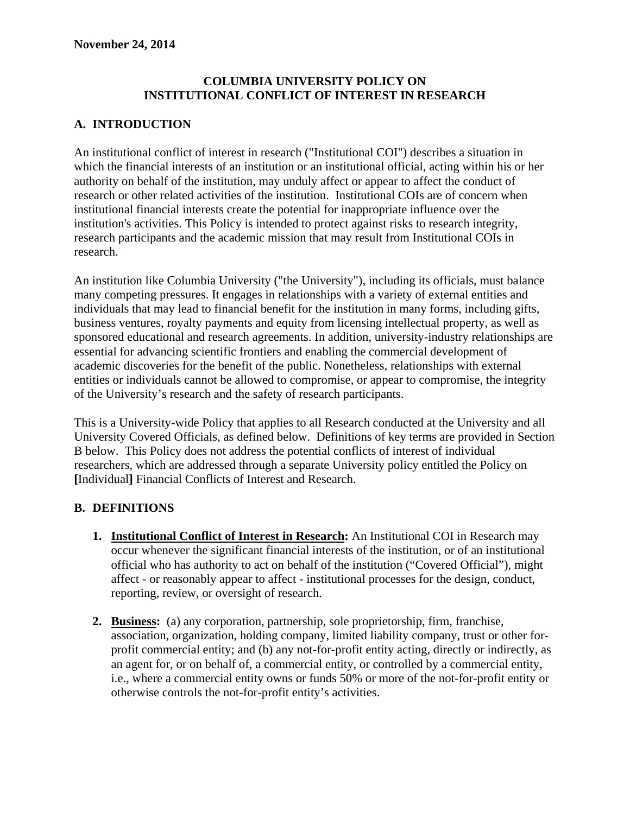#### **COLUMBIA UNIVERSITY POLICY ON INSTITUTIONAL CONFLICT OF INTEREST IN RESEARCH**

# **A. INTRODUCTION**

An institutional conflict of interest in research ("Institutional COI") describes a situation in which the financial interests of an institution or an institutional official, acting within his or her authority on behalf of the institution, may unduly affect or appear to affect the conduct of research or other related activities of the institution. Institutional COIs are of concern when institutional financial interests create the potential for inappropriate influence over the institution's activities. This Policy is intended to protect against risks to research integrity, research participants and the academic mission that may result from Institutional COIs in research.

An institution like Columbia University ("the University"), including its officials, must balance many competing pressures. It engages in relationships with a variety of external entities and individuals that may lead to financial benefit for the institution in many forms, including gifts, business ventures, royalty payments and equity from licensing intellectual property, as well as sponsored educational and research agreements. In addition, university-industry relationships are essential for advancing scientific frontiers and enabling the commercial development of academic discoveries for the benefit of the public. Nonetheless, relationships with external entities or individuals cannot be allowed to compromise, or appear to compromise, the integrity of the University's research and the safety of research participants.

This is a University-wide Policy that applies to all Research conducted at the University and all University Covered Officials, as defined below. Definitions of key terms are provided in Section B below. This Policy does not address the potential conflicts of interest of individual researchers, which are addressed through a separate University policy entitled the Policy on **[**Individual**]** Financial Conflicts of Interest and Research.

### **B. DEFINITIONS**

- **1. Institutional Conflict of Interest in Research:** An Institutional COI in Research may occur whenever the significant financial interests of the institution, or of an institutional official who has authority to act on behalf of the institution ("Covered Official"), might affect - or reasonably appear to affect - institutional processes for the design, conduct, reporting, review, or oversight of research.
- **2. Business:** (a) any corporation, partnership, sole proprietorship, firm, franchise, association, organization, holding company, limited liability company, trust or other forprofit commercial entity; and (b) any not-for-profit entity acting, directly or indirectly, as an agent for, or on behalf of, a commercial entity, or controlled by a commercial entity, i.e., where a commercial entity owns or funds 50% or more of the not-for-profit entity or otherwise controls the not-for-profit entity's activities.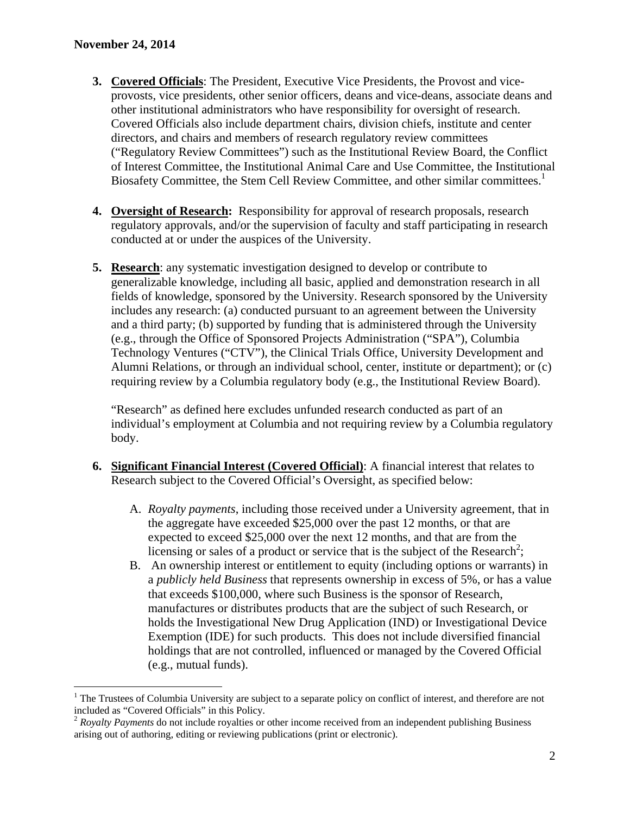$\overline{a}$ 

- **3. Covered Officials**: The President, Executive Vice Presidents, the Provost and viceprovosts, vice presidents, other senior officers, deans and vice-deans, associate deans and other institutional administrators who have responsibility for oversight of research. Covered Officials also include department chairs, division chiefs, institute and center directors, and chairs and members of research regulatory review committees ("Regulatory Review Committees") such as the Institutional Review Board, the Conflict of Interest Committee, the Institutional Animal Care and Use Committee, the Institutional Biosafety Committee, the Stem Cell Review Committee, and other similar committees.<sup>1</sup>
- **4. Oversight of Research:** Responsibility for approval of research proposals, research regulatory approvals, and/or the supervision of faculty and staff participating in research conducted at or under the auspices of the University.
- **5. Research**: any systematic investigation designed to develop or contribute to generalizable knowledge, including all basic, applied and demonstration research in all fields of knowledge, sponsored by the University. Research sponsored by the University includes any research: (a) conducted pursuant to an agreement between the University and a third party; (b) supported by funding that is administered through the University (e.g., through the Office of Sponsored Projects Administration ("SPA"), Columbia Technology Ventures ("CTV"), the Clinical Trials Office, University Development and Alumni Relations, or through an individual school, center, institute or department); or (c) requiring review by a Columbia regulatory body (e.g., the Institutional Review Board).

"Research" as defined here excludes unfunded research conducted as part of an individual's employment at Columbia and not requiring review by a Columbia regulatory body.

- **6. Significant Financial Interest (Covered Official)**: A financial interest that relates to Research subject to the Covered Official's Oversight, as specified below:
	- A. *Royalty payments*, including those received under a University agreement, that in the aggregate have exceeded \$25,000 over the past 12 months, or that are expected to exceed \$25,000 over the next 12 months, and that are from the licensing or sales of a product or service that is the subject of the Research<sup>2</sup>;
	- B. An ownership interest or entitlement to equity (including options or warrants) in a *publicly held Business* that represents ownership in excess of 5%, or has a value that exceeds \$100,000, where such Business is the sponsor of Research, manufactures or distributes products that are the subject of such Research, or holds the Investigational New Drug Application (IND) or Investigational Device Exemption (IDE) for such products. This does not include diversified financial holdings that are not controlled, influenced or managed by the Covered Official (e.g., mutual funds).

 $1$  The Trustees of Columbia University are subject to a separate policy on conflict of interest, and therefore are not included as "Covered Officials" in this Policy.

<sup>2</sup> *Royalty Payments* do not include royalties or other income received from an independent publishing Business arising out of authoring, editing or reviewing publications (print or electronic).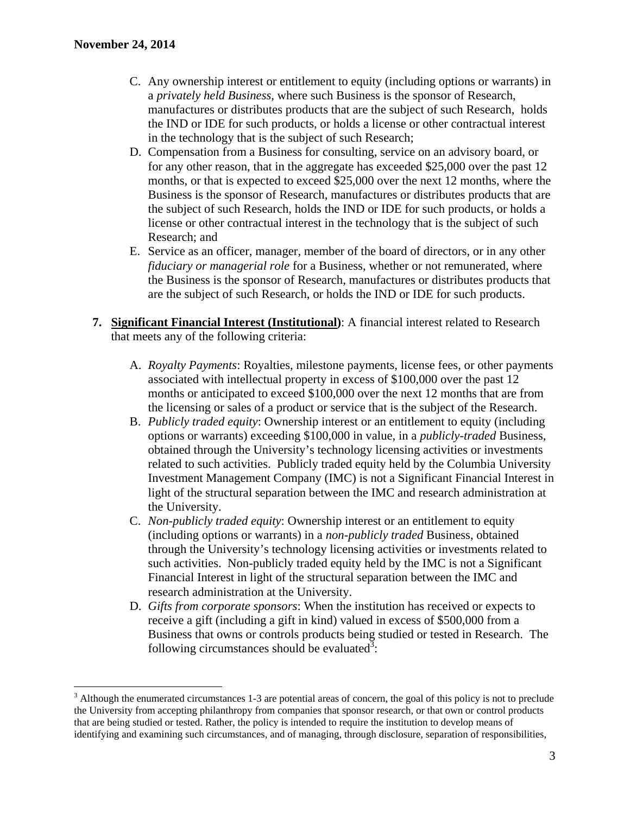$\overline{a}$ 

- C. Any ownership interest or entitlement to equity (including options or warrants) in a *privately held Business*, where such Business is the sponsor of Research, manufactures or distributes products that are the subject of such Research, holds the IND or IDE for such products, or holds a license or other contractual interest in the technology that is the subject of such Research;
- D. Compensation from a Business for consulting, service on an advisory board, or for any other reason, that in the aggregate has exceeded \$25,000 over the past 12 months, or that is expected to exceed \$25,000 over the next 12 months, where the Business is the sponsor of Research, manufactures or distributes products that are the subject of such Research, holds the IND or IDE for such products, or holds a license or other contractual interest in the technology that is the subject of such Research; and
- E. Service as an officer, manager, member of the board of directors, or in any other *fiduciary or managerial role* for a Business, whether or not remunerated, where the Business is the sponsor of Research, manufactures or distributes products that are the subject of such Research, or holds the IND or IDE for such products.
- **7. Significant Financial Interest (Institutional)**: A financial interest related to Research that meets any of the following criteria:
	- A. *Royalty Payments*: Royalties, milestone payments, license fees, or other payments associated with intellectual property in excess of \$100,000 over the past 12 months or anticipated to exceed \$100,000 over the next 12 months that are from the licensing or sales of a product or service that is the subject of the Research.
	- B. *Publicly traded equity*: Ownership interest or an entitlement to equity (including options or warrants) exceeding \$100,000 in value, in a *publicly-traded* Business, obtained through the University's technology licensing activities or investments related to such activities.Publicly traded equity held by the Columbia University Investment Management Company (IMC) is not a Significant Financial Interest in light of the structural separation between the IMC and research administration at the University.
	- C. *Non-publicly traded equity*: Ownership interest or an entitlement to equity (including options or warrants) in a *non-publicly traded* Business, obtained through the University's technology licensing activities or investments related to such activities. Non-publicly traded equity held by the IMC is not a Significant Financial Interest in light of the structural separation between the IMC and research administration at the University.
	- D. *Gifts from corporate sponsors*: When the institution has received or expects to receive a gift (including a gift in kind) valued in excess of \$500,000 from a Business that owns or controls products being studied or tested in Research. The following circumstances should be evaluated<sup>3</sup>:

 $3$  Although the enumerated circumstances 1-3 are potential areas of concern, the goal of this policy is not to preclude the University from accepting philanthropy from companies that sponsor research, or that own or control products that are being studied or tested. Rather, the policy is intended to require the institution to develop means of identifying and examining such circumstances, and of managing, through disclosure, separation of responsibilities,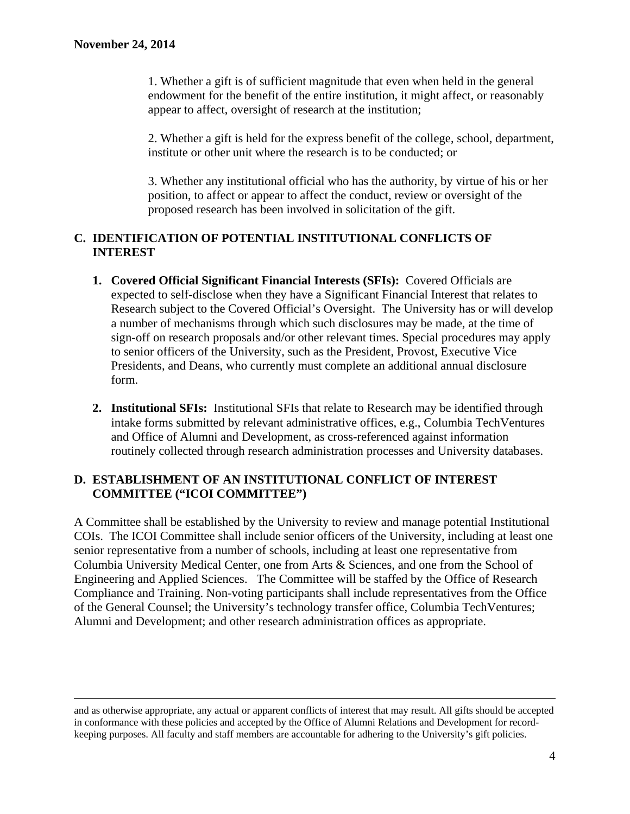1. Whether a gift is of sufficient magnitude that even when held in the general endowment for the benefit of the entire institution, it might affect, or reasonably appear to affect, oversight of research at the institution;

2. Whether a gift is held for the express benefit of the college, school, department, institute or other unit where the research is to be conducted; or

3. Whether any institutional official who has the authority, by virtue of his or her position, to affect or appear to affect the conduct, review or oversight of the proposed research has been involved in solicitation of the gift.

### **C. IDENTIFICATION OF POTENTIAL INSTITUTIONAL CONFLICTS OF INTEREST**

- **1. Covered Official Significant Financial Interests (SFIs):** Covered Officials are expected to self-disclose when they have a Significant Financial Interest that relates to Research subject to the Covered Official's Oversight. The University has or will develop a number of mechanisms through which such disclosures may be made, at the time of sign-off on research proposals and/or other relevant times. Special procedures may apply to senior officers of the University, such as the President, Provost, Executive Vice Presidents, and Deans, who currently must complete an additional annual disclosure form.
- **2. Institutional SFIs:** Institutional SFIs that relate to Research may be identified through intake forms submitted by relevant administrative offices, e.g., Columbia TechVentures and Office of Alumni and Development, as cross-referenced against information routinely collected through research administration processes and University databases.

#### **D. ESTABLISHMENT OF AN INSTITUTIONAL CONFLICT OF INTEREST COMMITTEE ("ICOI COMMITTEE")**

A Committee shall be established by the University to review and manage potential Institutional COIs. The ICOI Committee shall include senior officers of the University, including at least one senior representative from a number of schools, including at least one representative from Columbia University Medical Center, one from Arts & Sciences, and one from the School of Engineering and Applied Sciences. The Committee will be staffed by the Office of Research Compliance and Training. Non-voting participants shall include representatives from the Office of the General Counsel; the University's technology transfer office, Columbia TechVentures; Alumni and Development; and other research administration offices as appropriate.

and as otherwise appropriate, any actual or apparent conflicts of interest that may result. All gifts should be accepted in conformance with these policies and accepted by the Office of Alumni Relations and Development for recordkeeping purposes. All faculty and staff members are accountable for adhering to the University's gift policies.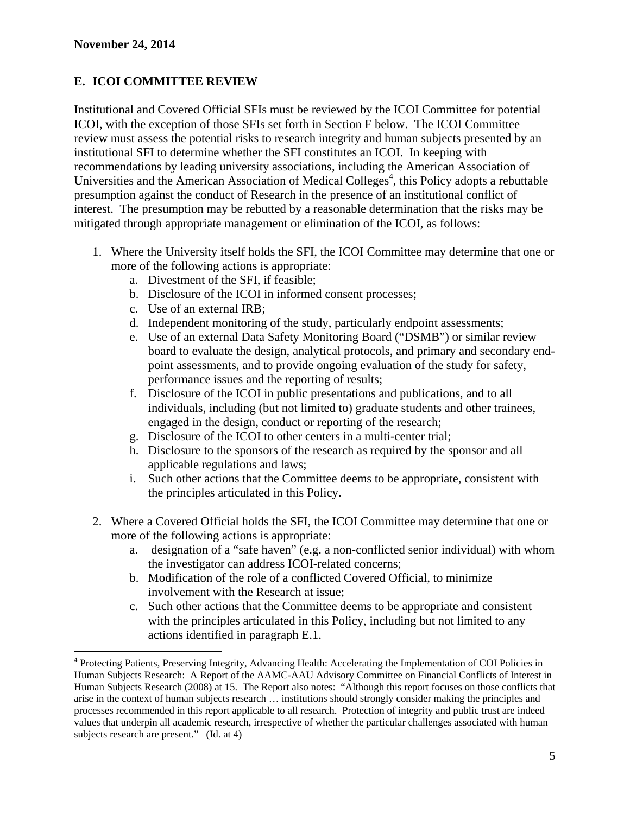$\overline{a}$ 

# **E. ICOI COMMITTEE REVIEW**

Institutional and Covered Official SFIs must be reviewed by the ICOI Committee for potential ICOI, with the exception of those SFIs set forth in Section F below. The ICOI Committee review must assess the potential risks to research integrity and human subjects presented by an institutional SFI to determine whether the SFI constitutes an ICOI. In keeping with recommendations by leading university associations, including the American Association of Universities and the American Association of Medical Colleges<sup>4</sup>, this Policy adopts a rebuttable presumption against the conduct of Research in the presence of an institutional conflict of interest. The presumption may be rebutted by a reasonable determination that the risks may be mitigated through appropriate management or elimination of the ICOI, as follows:

- 1. Where the University itself holds the SFI, the ICOI Committee may determine that one or more of the following actions is appropriate:
	- a. Divestment of the SFI, if feasible;
	- b. Disclosure of the ICOI in informed consent processes;
	- c. Use of an external IRB;
	- d. Independent monitoring of the study, particularly endpoint assessments;
	- e. Use of an external Data Safety Monitoring Board ("DSMB") or similar review board to evaluate the design, analytical protocols, and primary and secondary endpoint assessments, and to provide ongoing evaluation of the study for safety, performance issues and the reporting of results;
	- f. Disclosure of the ICOI in public presentations and publications, and to all individuals, including (but not limited to) graduate students and other trainees, engaged in the design, conduct or reporting of the research;
	- g. Disclosure of the ICOI to other centers in a multi-center trial;
	- h. Disclosure to the sponsors of the research as required by the sponsor and all applicable regulations and laws;
	- i. Such other actions that the Committee deems to be appropriate, consistent with the principles articulated in this Policy.
- 2. Where a Covered Official holds the SFI, the ICOI Committee may determine that one or more of the following actions is appropriate:
	- a. designation of a "safe haven" (e.g. a non-conflicted senior individual) with whom the investigator can address ICOI-related concerns;
	- b. Modification of the role of a conflicted Covered Official, to minimize involvement with the Research at issue;
	- c. Such other actions that the Committee deems to be appropriate and consistent with the principles articulated in this Policy, including but not limited to any actions identified in paragraph E.1.

<sup>&</sup>lt;sup>4</sup> Protecting Patients, Preserving Integrity, Advancing Health: Accelerating the Implementation of COI Policies in Human Subjects Research: A Report of the AAMC-AAU Advisory Committee on Financial Conflicts of Interest in Human Subjects Research (2008) at 15. The Report also notes: "Although this report focuses on those conflicts that arise in the context of human subjects research … institutions should strongly consider making the principles and processes recommended in this report applicable to all research. Protection of integrity and public trust are indeed values that underpin all academic research, irrespective of whether the particular challenges associated with human subjects research are present."  $(\underline{Id}$  at 4)